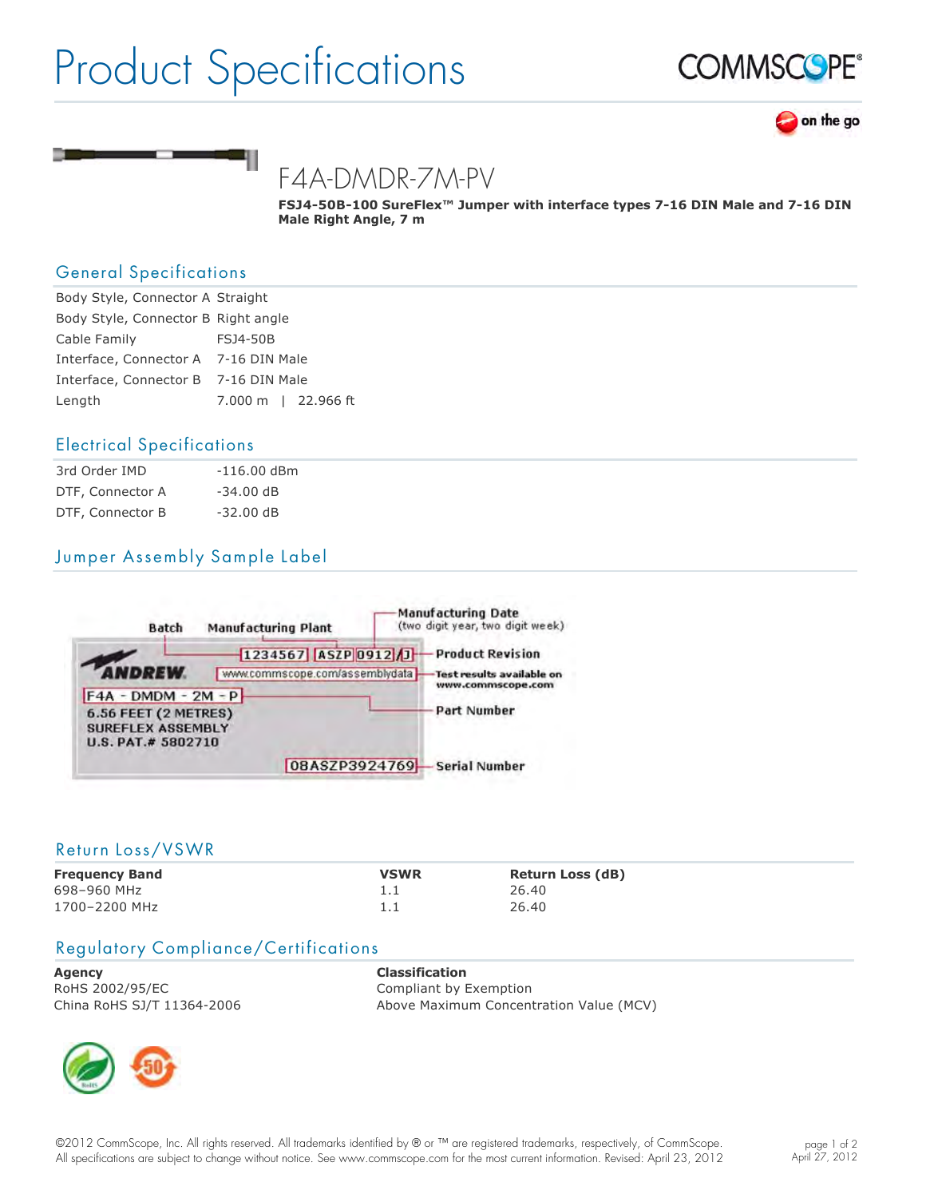# Product Specifications







# F4A-DMDR-7M-PV

FSJ4-50B-100 SureFlex<sup>™</sup> Jumper with interface types 7-16 DIN Male and 7-16 DIN **Male Right Angle, 7 m**

# General Specifications

| Body Style, Connector A Straight     |                     |
|--------------------------------------|---------------------|
| Body Style, Connector B Right angle  |                     |
| Cable Family                         | <b>FSJ4-50B</b>     |
| Interface, Connector A 7-16 DIN Male |                     |
| Interface, Connector B 7-16 DIN Male |                     |
| Length                               | 7.000 m   22.966 ft |

### Electrical Specifications

| 3rd Order IMD    | $-116.00$ dBm |
|------------------|---------------|
| DTF, Connector A | $-34.00$ dB   |
| DTF, Connector B | $-32.00$ dB   |

# Jumper Assembly Sample Label



#### Return Loss/VSWR

| <b>Frequency Band</b> | <b>VSWR</b> | <b>Return Loss (dB)</b> |
|-----------------------|-------------|-------------------------|
| 698-960 MHz           |             | 26.40                   |
| 1700-2200 MHz         |             | 26.40                   |

### Regulatory Compliance/Certifications

**Agency Classification** RoHS 2002/95/EC Compliant by Exemption

China RoHS SJ/T 11364-2006 Above Maximum Concentration Value (MCV)